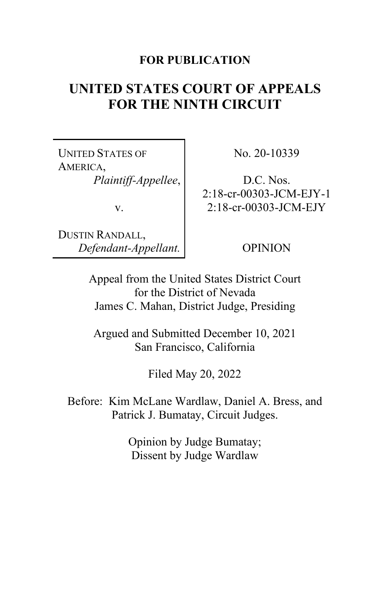## **FOR PUBLICATION**

# **UNITED STATES COURT OF APPEALS FOR THE NINTH CIRCUIT**

UNITED STATES OF AMERICA, *Plaintiff-Appellee*,

v.

DUSTIN RANDALL, *Defendant-Appellant.* No. 20-10339

D.C. Nos. 2:18-cr-00303-JCM-EJY-1 2:18-cr-00303-JCM-EJY

OPINION

Appeal from the United States District Court for the District of Nevada James C. Mahan, District Judge, Presiding

Argued and Submitted December 10, 2021 San Francisco, California

Filed May 20, 2022

Before: Kim McLane Wardlaw, Daniel A. Bress, and Patrick J. Bumatay, Circuit Judges.

> Opinion by Judge Bumatay; Dissent by Judge Wardlaw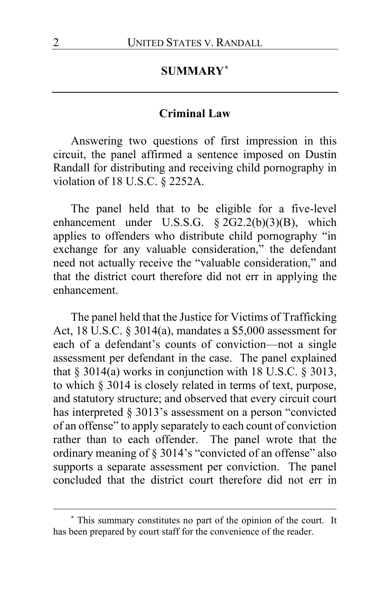## **SUMMARY[\\*](#page-1-0)**

## **Criminal Law**

Answering two questions of first impression in this circuit, the panel affirmed a sentence imposed on Dustin Randall for distributing and receiving child pornography in violation of 18 U.S.C. § 2252A.

The panel held that to be eligible for a five-level enhancement under U.S.S.G.  $\S 2G2.2(b)(3)(B)$ , which applies to offenders who distribute child pornography "in exchange for any valuable consideration," the defendant need not actually receive the "valuable consideration," and that the district court therefore did not err in applying the enhancement.

The panel held that the Justice for Victims of Trafficking Act, 18 U.S.C. § 3014(a), mandates a \$5,000 assessment for each of a defendant's counts of conviction—not a single assessment per defendant in the case. The panel explained that  $\S 3014(a)$  works in conjunction with 18 U.S.C.  $\S 3013$ , to which § 3014 is closely related in terms of text, purpose, and statutory structure; and observed that every circuit court has interpreted § 3013's assessment on a person "convicted of an offense" to apply separately to each count of conviction rather than to each offender. The panel wrote that the ordinary meaning of § 3014's "convicted of an offense" also supports a separate assessment per conviction. The panel concluded that the district court therefore did not err in

<span id="page-1-0"></span>**<sup>\*</sup>** This summary constitutes no part of the opinion of the court. It has been prepared by court staff for the convenience of the reader.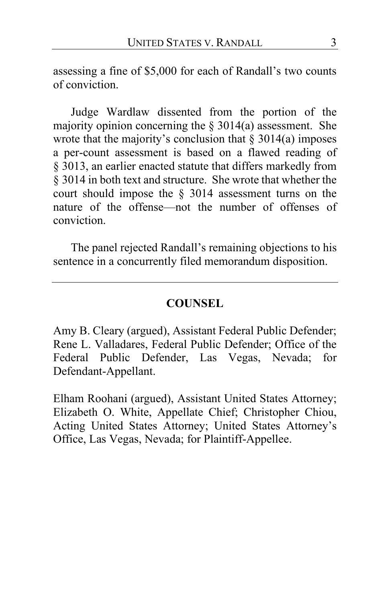assessing a fine of \$5,000 for each of Randall's two counts of conviction.

Judge Wardlaw dissented from the portion of the majority opinion concerning the  $\S 3014(a)$  assessment. She wrote that the majority's conclusion that  $\S 3014(a)$  imposes a per-count assessment is based on a flawed reading of § 3013, an earlier enacted statute that differs markedly from § 3014 in both text and structure. She wrote that whether the court should impose the § 3014 assessment turns on the nature of the offense—not the number of offenses of conviction.

The panel rejected Randall's remaining objections to his sentence in a concurrently filed memorandum disposition.

### **COUNSEL**

Amy B. Cleary (argued), Assistant Federal Public Defender; Rene L. Valladares, Federal Public Defender; Office of the Federal Public Defender, Las Vegas, Nevada; for Defendant-Appellant.

Elham Roohani (argued), Assistant United States Attorney; Elizabeth O. White, Appellate Chief; Christopher Chiou, Acting United States Attorney; United States Attorney's Office, Las Vegas, Nevada; for Plaintiff-Appellee.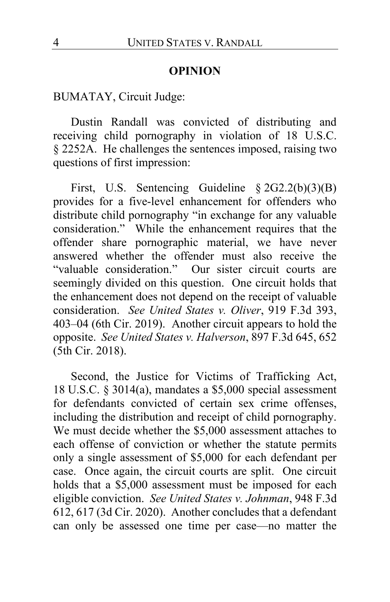## **OPINION**

BUMATAY, Circuit Judge:

Dustin Randall was convicted of distributing and receiving child pornography in violation of 18 U.S.C. § 2252A. He challenges the sentences imposed, raising two questions of first impression:

First, U.S. Sentencing Guideline § 2G2.2(b)(3)(B) provides for a five-level enhancement for offenders who distribute child pornography "in exchange for any valuable consideration." While the enhancement requires that the offender share pornographic material, we have never answered whether the offender must also receive the "valuable consideration." Our sister circuit courts are seemingly divided on this question. One circuit holds that the enhancement does not depend on the receipt of valuable consideration. *See United States v. Oliver*, 919 F.3d 393, 403–04 (6th Cir. 2019). Another circuit appears to hold the opposite. *See United States v. Halverson*, 897 F.3d 645, 652 (5th Cir. 2018).

Second, the Justice for Victims of Trafficking Act, 18 U.S.C. § 3014(a), mandates a \$5,000 special assessment for defendants convicted of certain sex crime offenses, including the distribution and receipt of child pornography. We must decide whether the \$5,000 assessment attaches to each offense of conviction or whether the statute permits only a single assessment of \$5,000 for each defendant per case. Once again, the circuit courts are split. One circuit holds that a \$5,000 assessment must be imposed for each eligible conviction. *See United States v. Johnman*, 948 F.3d 612, 617 (3d Cir. 2020). Another concludes that a defendant can only be assessed one time per case—no matter the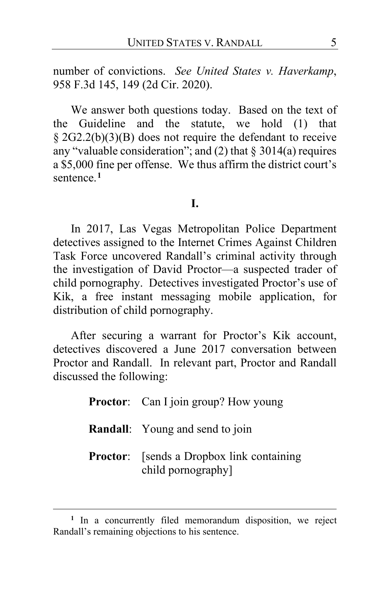number of convictions. *See United States v. Haverkamp*, 958 F.3d 145, 149 (2d Cir. 2020).

We answer both questions today. Based on the text of the Guideline and the statute, we hold (1) that § 2G2.2(b)(3)(B) does not require the defendant to receive any "valuable consideration"; and  $(2)$  that  $\S 3014(a)$  requires a \$5,000 fine per offense. We thus affirm the district court's sentence.**[1](#page-4-0)**

## **I.**

In 2017, Las Vegas Metropolitan Police Department detectives assigned to the Internet Crimes Against Children Task Force uncovered Randall's criminal activity through the investigation of David Proctor—a suspected trader of child pornography. Detectives investigated Proctor's use of Kik, a free instant messaging mobile application, for distribution of child pornography.

After securing a warrant for Proctor's Kik account, detectives discovered a June 2017 conversation between Proctor and Randall. In relevant part, Proctor and Randall discussed the following:

| <b>Proctor:</b> Can I join group? How young                             |
|-------------------------------------------------------------------------|
| <b>Randall:</b> Young and send to join                                  |
| <b>Proctor:</b> [sends a Dropbox link containing]<br>child pornography] |

<span id="page-4-0"></span>**<sup>1</sup>** In a concurrently filed memorandum disposition, we reject Randall's remaining objections to his sentence.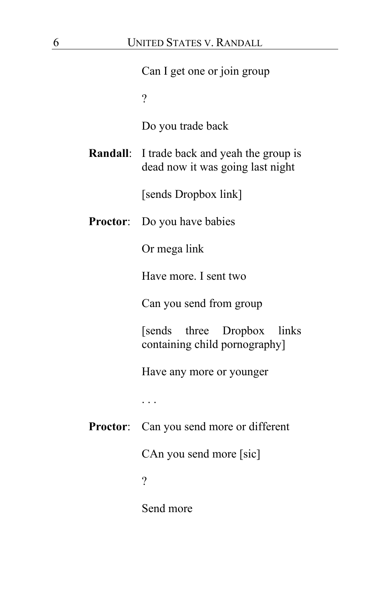|                 | Can I get one or join group                                                            |
|-----------------|----------------------------------------------------------------------------------------|
|                 | $\overline{\mathcal{L}}$                                                               |
|                 | Do you trade back                                                                      |
|                 | <b>Randall:</b> I trade back and yeah the group is<br>dead now it was going last night |
|                 | [sends Dropbox link]                                                                   |
| <b>Proctor:</b> | Do you have babies                                                                     |
|                 | Or mega link                                                                           |
|                 | Have more. I sent two                                                                  |
|                 | Can you send from group                                                                |
|                 | [sends three Dropbox]<br>links<br>containing child pornography]                        |
|                 | Have any more or younger                                                               |
|                 | .                                                                                      |
|                 | Proctor: Can you send more or different                                                |
|                 | CAn you send more [sic]                                                                |
|                 | $\overline{?}$                                                                         |
|                 | Send more                                                                              |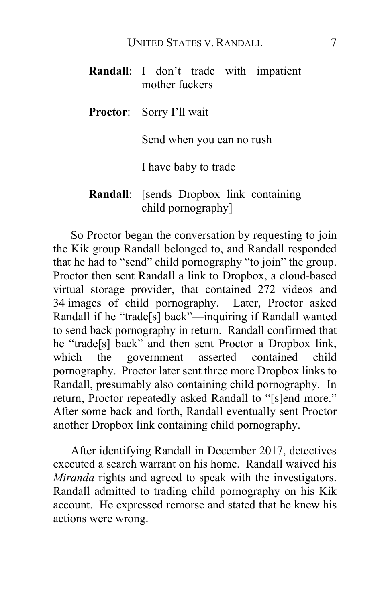| Randall: I don't trade with impatient<br>mother fuckers       |
|---------------------------------------------------------------|
| <b>Proctor:</b> Sorry I'll wait                               |
| Send when you can no rush                                     |
| I have baby to trade                                          |
| Randall: [sends Dropbox link containing<br>child pornography] |

So Proctor began the conversation by requesting to join the Kik group Randall belonged to, and Randall responded that he had to "send" child pornography "to join" the group. Proctor then sent Randall a link to Dropbox, a cloud-based virtual storage provider, that contained 272 videos and 34 images of child pornography. Later, Proctor asked Randall if he "trade[s] back"—inquiring if Randall wanted to send back pornography in return. Randall confirmed that he "trade[s] back" and then sent Proctor a Dropbox link, which the government asserted contained child pornography.Proctor later sent three more Dropbox links to Randall, presumably also containing child pornography. In return, Proctor repeatedly asked Randall to "[s]end more." After some back and forth, Randall eventually sent Proctor another Dropbox link containing child pornography.

After identifying Randall in December 2017, detectives executed a search warrant on his home. Randall waived his *Miranda* rights and agreed to speak with the investigators. Randall admitted to trading child pornography on his Kik account. He expressed remorse and stated that he knew his actions were wrong.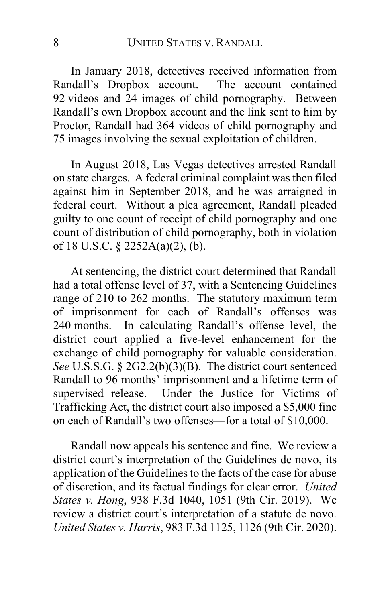In January 2018, detectives received information from Randall's Dropbox account. The account contained 92 videos and 24 images of child pornography. Between Randall's own Dropbox account and the link sent to him by Proctor, Randall had 364 videos of child pornography and 75 images involving the sexual exploitation of children.

In August 2018, Las Vegas detectives arrested Randall on state charges. A federal criminal complaint was then filed against him in September 2018, and he was arraigned in federal court. Without a plea agreement, Randall pleaded guilty to one count of receipt of child pornography and one count of distribution of child pornography, both in violation of 18 U.S.C. § 2252A(a)(2), (b).

At sentencing, the district court determined that Randall had a total offense level of 37, with a Sentencing Guidelines range of 210 to 262 months. The statutory maximum term of imprisonment for each of Randall's offenses was 240 months. In calculating Randall's offense level, the district court applied a five-level enhancement for the exchange of child pornography for valuable consideration. *See* U.S.S.G. § 2G2.2(b)(3)(B). The district court sentenced Randall to 96 months' imprisonment and a lifetime term of supervised release. Under the Justice for Victims of Trafficking Act, the district court also imposed a \$5,000 fine on each of Randall's two offenses—for a total of \$10,000.

Randall now appeals his sentence and fine. We review a district court's interpretation of the Guidelines de novo, its application of the Guidelines to the facts of the case for abuse of discretion, and its factual findings for clear error. *United States v. Hong*, 938 F.3d 1040, 1051 (9th Cir. 2019). We review a district court's interpretation of a statute de novo. *United States v. Harris*, 983 F.3d 1125, 1126 (9th Cir. 2020).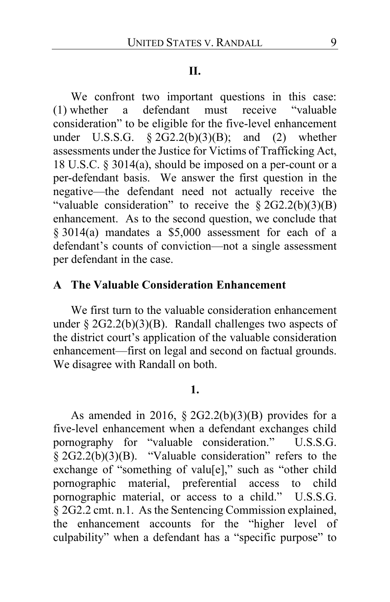### **II.**

We confront two important questions in this case:<br>whether a defendant must receive "valuable (1) whether a defendant must receive "valuable consideration" to be eligible for the five-level enhancement under U.S.S.G.  $\S 2G2.2(b)(3)(B)$ ; and (2) whether assessments under the Justice for Victims of Trafficking Act, 18 U.S.C. § 3014(a), should be imposed on a per-count or a per-defendant basis. We answer the first question in the negative—the defendant need not actually receive the "valuable consideration" to receive the  $\S 2G2.2(b)(3)(B)$ enhancement. As to the second question, we conclude that § 3014(a) mandates a \$5,000 assessment for each of a defendant's counts of conviction—not a single assessment per defendant in the case.

## **A The Valuable Consideration Enhancement**

We first turn to the valuable consideration enhancement under §  $2G2.2(b)(3)(B)$ . Randall challenges two aspects of the district court's application of the valuable consideration enhancement—first on legal and second on factual grounds. We disagree with Randall on both.

## **1.**

As amended in 2016,  $\S 2G2.2(b)(3)(B)$  provides for a five-level enhancement when a defendant exchanges child pornography for "valuable consideration." U.S.S.G. § 2G2.2(b)(3)(B). "Valuable consideration" refers to the exchange of "something of valu[e]," such as "other child pornographic material, preferential access to child pornographic material, or access to a child." U.S.S.G. § 2G2.2 cmt. n.1. As the Sentencing Commission explained, the enhancement accounts for the "higher level of culpability" when a defendant has a "specific purpose" to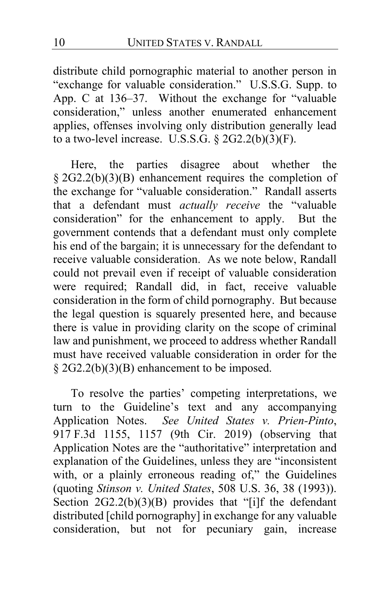distribute child pornographic material to another person in "exchange for valuable consideration." U.S.S.G. Supp. to App. C at 136–37. Without the exchange for "valuable consideration," unless another enumerated enhancement applies, offenses involving only distribution generally lead to a two-level increase. U.S.S.G.  $\S 2G2.2(b)(3)(F)$ .

Here, the parties disagree about whether the  $§$  2G2.2(b)(3)(B) enhancement requires the completion of the exchange for "valuable consideration." Randall asserts that a defendant must *actually receive* the "valuable consideration" for the enhancement to apply. But the government contends that a defendant must only complete his end of the bargain; it is unnecessary for the defendant to receive valuable consideration. As we note below, Randall could not prevail even if receipt of valuable consideration were required; Randall did, in fact, receive valuable consideration in the form of child pornography. But because the legal question is squarely presented here, and because there is value in providing clarity on the scope of criminal law and punishment, we proceed to address whether Randall must have received valuable consideration in order for the § 2G2.2(b)(3)(B) enhancement to be imposed.

To resolve the parties' competing interpretations, we turn to the Guideline's text and any accompanying Application Notes. *See United States v. Prien-Pinto*, 917 F.3d 1155, 1157 (9th Cir. 2019) (observing that Application Notes are the "authoritative" interpretation and explanation of the Guidelines, unless they are "inconsistent with, or a plainly erroneous reading of," the Guidelines (quoting *Stinson v. United States*, 508 U.S. 36, 38 (1993)). Section 2G2.2(b)(3)(B) provides that "[i]f the defendant distributed [child pornography] in exchange for any valuable consideration, but not for pecuniary gain, increase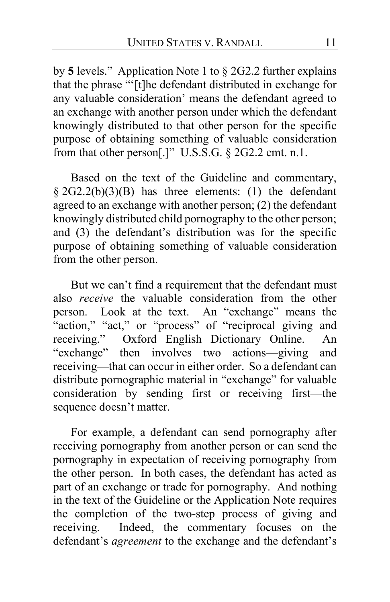by **5** levels." Application Note 1 to § 2G2.2 further explains that the phrase "'[t]he defendant distributed in exchange for any valuable consideration' means the defendant agreed to an exchange with another person under which the defendant knowingly distributed to that other person for the specific purpose of obtaining something of valuable consideration from that other person[.]" U.S.S.G. § 2G2.2 cmt. n.1.

Based on the text of the Guideline and commentary,  $§ 2G2.2(b)(3)(B)$  has three elements: (1) the defendant agreed to an exchange with another person; (2) the defendant knowingly distributed child pornography to the other person; and (3) the defendant's distribution was for the specific purpose of obtaining something of valuable consideration from the other person.

But we can't find a requirement that the defendant must also *receive* the valuable consideration from the other person. Look at the text. An "exchange" means the "action," "act," or "process" of "reciprocal giving and receiving." Oxford English Dictionary Online. An "exchange" then involves two actions—giving and receiving—that can occur in either order. So a defendant can distribute pornographic material in "exchange" for valuable consideration by sending first or receiving first—the sequence doesn't matter.

For example, a defendant can send pornography after receiving pornography from another person or can send the pornography in expectation of receiving pornography from the other person. In both cases, the defendant has acted as part of an exchange or trade for pornography. And nothing in the text of the Guideline or the Application Note requires the completion of the two-step process of giving and receiving. Indeed, the commentary focuses on the defendant's *agreement* to the exchange and the defendant's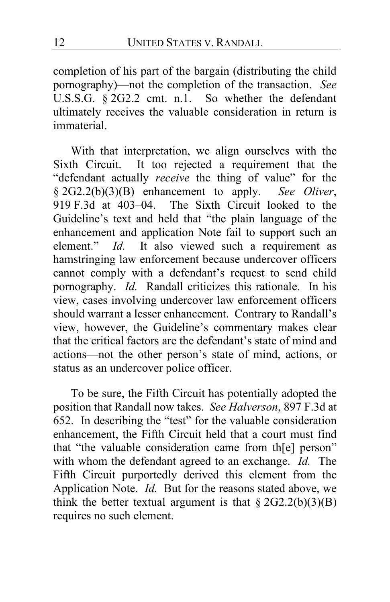completion of his part of the bargain (distributing the child pornography)—not the completion of the transaction. *See*  U.S.S.G. § 2G2.2 cmt. n.1. So whether the defendant ultimately receives the valuable consideration in return is immaterial.

With that interpretation, we align ourselves with the Sixth Circuit. It too rejected a requirement that the "defendant actually *receive* the thing of value" for the § 2G2.2(b)(3)(B) enhancement to apply. *See Oliver*, 919 F.3d at 403–04. The Sixth Circuit looked to the Guideline's text and held that "the plain language of the enhancement and application Note fail to support such an element." *Id.* It also viewed such a requirement as hamstringing law enforcement because undercover officers cannot comply with a defendant's request to send child pornography. *Id.* Randall criticizes this rationale. In his view, cases involving undercover law enforcement officers should warrant a lesser enhancement. Contrary to Randall's view, however, the Guideline's commentary makes clear that the critical factors are the defendant's state of mind and actions—not the other person's state of mind, actions, or status as an undercover police officer.

To be sure, the Fifth Circuit has potentially adopted the position that Randall now takes. *See Halverson*, 897 F.3d at 652. In describing the "test" for the valuable consideration enhancement, the Fifth Circuit held that a court must find that "the valuable consideration came from th[e] person" with whom the defendant agreed to an exchange. *Id.* The Fifth Circuit purportedly derived this element from the Application Note. *Id.* But for the reasons stated above, we think the better textual argument is that  $\S 2G2.2(b)(3)(B)$ requires no such element.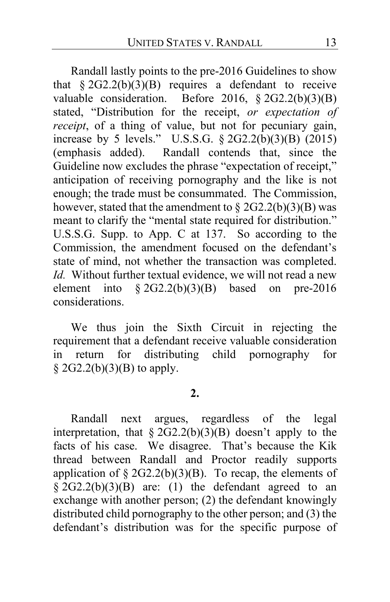Randall lastly points to the pre-2016 Guidelines to show that  $§ 2G2.2(b)(3)(B)$  requires a defendant to receive valuable consideration. Before 2016, § 2G2.2(b)(3)(B) stated, "Distribution for the receipt, *or expectation of receipt*, of a thing of value, but not for pecuniary gain, increase by 5 levels." U.S.S.G. § 2G2.2(b)(3)(B) (2015) (emphasis added). Randall contends that, since the Guideline now excludes the phrase "expectation of receipt," anticipation of receiving pornography and the like is not enough; the trade must be consummated. The Commission, however, stated that the amendment to  $\S 2G2.2(b)(3)(B)$  was meant to clarify the "mental state required for distribution." U.S.S.G. Supp. to App. C at 137. So according to the Commission, the amendment focused on the defendant's state of mind, not whether the transaction was completed. *Id.* Without further textual evidence, we will not read a new element into  $\S 2G2.2(b)(3)(B)$  based on pre-2016 considerations.

We thus join the Sixth Circuit in rejecting the requirement that a defendant receive valuable consideration in return for distributing child pornography for  $§$  2G2.2(b)(3)(B) to apply.

## **2.**

Randall next argues, regardless of the legal interpretation, that  $\S 2G2.2(b)(3)(B)$  doesn't apply to the facts of his case. We disagree. That's because the Kik thread between Randall and Proctor readily supports application of  $\S 2G2.2(b)(3)(B)$ . To recap, the elements of  $\frac{2}{9}$  2G2.2(b)(3)(B) are: (1) the defendant agreed to an exchange with another person; (2) the defendant knowingly distributed child pornography to the other person; and (3) the defendant's distribution was for the specific purpose of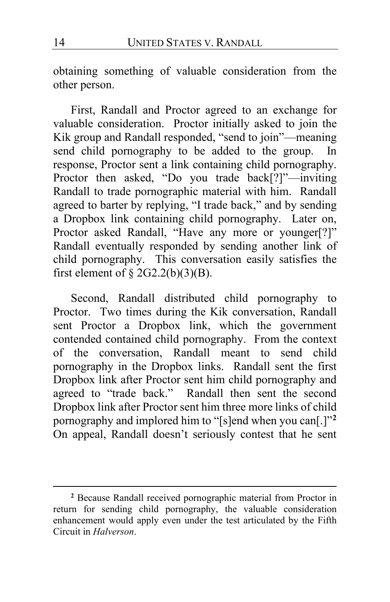obtaining something of valuable consideration from the other person.

First, Randall and Proctor agreed to an exchange for valuable consideration. Proctor initially asked to join the Kik group and Randall responded, "send to join"—meaning send child pornography to be added to the group. In response, Proctor sent a link containing child pornography. Proctor then asked, "Do you trade back[?]"—inviting Randall to trade pornographic material with him. Randall agreed to barter by replying, "I trade back," and by sending a Dropbox link containing child pornography. Later on, Proctor asked Randall, "Have any more or younger[?]" Randall eventually responded by sending another link of child pornography. This conversation easily satisfies the first element of  $\S$  2G2.2(b)(3)(B).

Second, Randall distributed child pornography to Proctor. Two times during the Kik conversation, Randall sent Proctor a Dropbox link, which the government contended contained child pornography. From the context of the conversation, Randall meant to send child pornography in the Dropbox links. Randall sent the first Dropbox link after Proctor sent him child pornography and agreed to "trade back." Randall then sent the second Dropbox link after Proctor sent him three more links of child pornography and implored him to "[s]end when you can[.]"**[2](#page-13-0)** On appeal, Randall doesn't seriously contest that he sent

<span id="page-13-0"></span>**<sup>2</sup>** Because Randall received pornographic material from Proctor in return for sending child pornography, the valuable consideration enhancement would apply even under the test articulated by the Fifth Circuit in *Halverson*.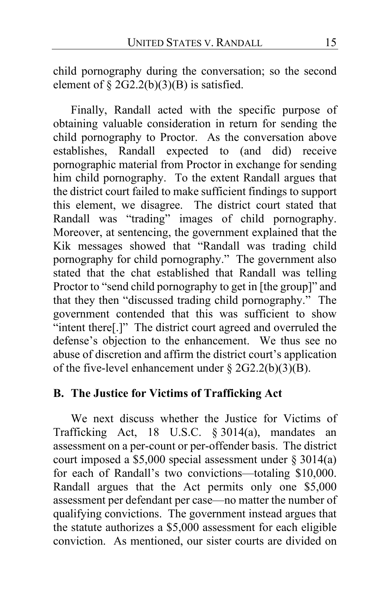child pornography during the conversation; so the second element of  $\S 2G2.2(b)(3)(B)$  is satisfied.

Finally, Randall acted with the specific purpose of obtaining valuable consideration in return for sending the child pornography to Proctor. As the conversation above establishes, Randall expected to (and did) receive pornographic material from Proctor in exchange for sending him child pornography. To the extent Randall argues that the district court failed to make sufficient findings to support this element, we disagree. The district court stated that Randall was "trading" images of child pornography. Moreover, at sentencing, the government explained that the Kik messages showed that "Randall was trading child pornography for child pornography." The government also stated that the chat established that Randall was telling Proctor to "send child pornography to get in [the group]" and that they then "discussed trading child pornography." The government contended that this was sufficient to show "intent there<sup>[1]</sup>" The district court agreed and overruled the defense's objection to the enhancement. We thus see no abuse of discretion and affirm the district court's application of the five-level enhancement under § 2G2.2(b)(3)(B).

## **B. The Justice for Victims of Trafficking Act**

<span id="page-14-0"></span>We next discuss whether the Justice for Victims of Trafficking Act, 18 U.S.C. § 3014(a), mandates an assessment on a per-count or per-offender basis. The district court imposed a \$5,000 special assessment under § 3014(a) for each of Randall's two convictions—totaling \$10,000. Randall argues that the Act permits only one \$5,000 assessment per defendant per case—no matter the number of qualifying convictions. The government instead argues that the statute authorizes a \$5,000 assessment for each eligible conviction. As mentioned, our sister courts are divided on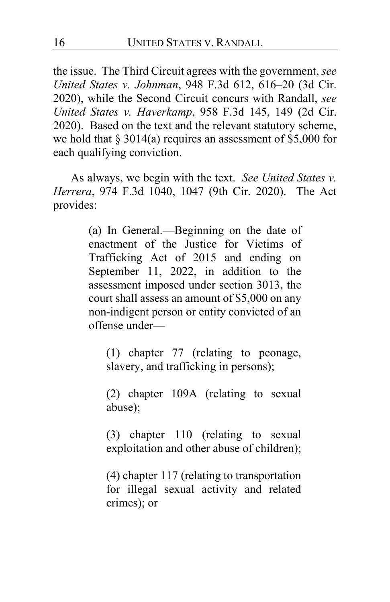the issue. The Third Circuit agrees with the government, *see United States v. Johnman*, 948 F.3d 612, 616–20 (3d Cir. 2020), while the Second Circuit concurs with Randall, *see United States v. Haverkamp*, 958 F.3d 145, 149 (2d Cir. 2020). Based on the text and the relevant statutory scheme, we hold that  $\S 3014(a)$  requires an assessment of \$5,000 for each qualifying conviction.

As always, we begin with the text. *See United States v. Herrera*, 974 F.3d 1040, 1047 (9th Cir. 2020). The Act provides:

> (a) In General.—Beginning on the date of enactment of the Justice for Victims of Trafficking Act of 2015 and ending on September 11, 2022, in addition to the assessment imposed under section 3013, the court shall assess an amount of \$5,000 on any non-indigent person or entity convicted of an offense under—

(1) chapter 77 (relating to peonage, slavery, and trafficking in persons);

(2) chapter 109A (relating to sexual abuse);

(3) chapter 110 (relating to sexual exploitation and other abuse of children);

(4) chapter 117 (relating to transportation for illegal sexual activity and related crimes); or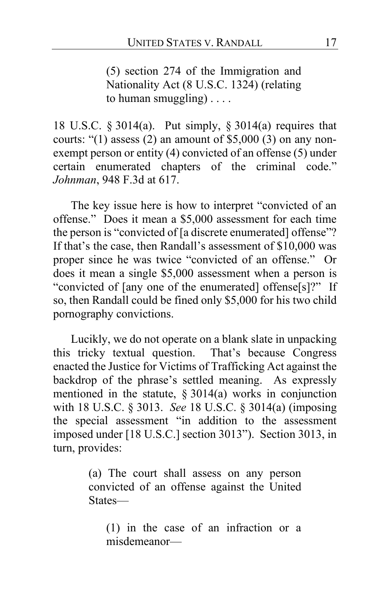(5) section 274 of the Immigration and Nationality Act (8 U.S.C. 1324) (relating to human smuggling) . . . .

18 U.S.C. § 3014(a). Put simply, § 3014(a) requires that courts: " $(1)$  assess  $(2)$  an amount of \$5,000  $(3)$  on any nonexempt person or entity (4) convicted of an offense (5) under certain enumerated chapters of the criminal code." *Johnman*, 948 F.3d at 617.

The key issue here is how to interpret "convicted of an offense." Does it mean a \$5,000 assessment for each time the person is "convicted of [a discrete enumerated] offense"? If that's the case, then Randall's assessment of \$10,000 was proper since he was twice "convicted of an offense." Or does it mean a single \$5,000 assessment when a person is "convicted of [any one of the enumerated] offense[s]?" If so, then Randall could be fined only \$5,000 for his two child pornography convictions.

Lucikly, we do not operate on a blank slate in unpacking this tricky textual question. That's because Congress enacted the Justice for Victims of Trafficking Act against the backdrop of the phrase's settled meaning. As expressly mentioned in the statute, § 3014(a) works in conjunction with 18 U.S.C. § 3013. *See* 18 U.S.C. § 3014(a) (imposing the special assessment "in addition to the assessment imposed under [18 U.S.C.] section 3013"). Section 3013, in turn, provides:

> (a) The court shall assess on any person convicted of an offense against the United States—

(1) in the case of an infraction or a misdemeanor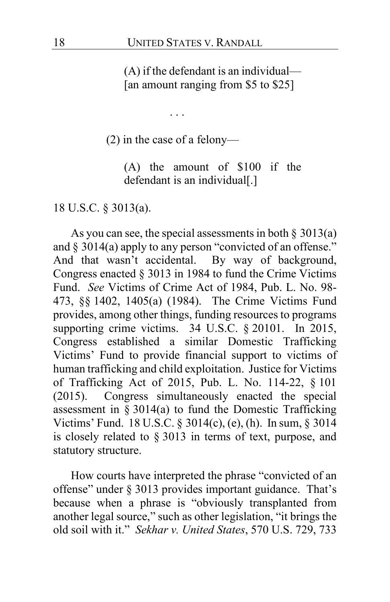(A) if the defendant is an individual— [an amount ranging from \$5 to \$25]

. . .

(2) in the case of a felony—

(A) the amount of \$100 if the defendant is an individual[.]

18 U.S.C. § 3013(a).

As you can see, the special assessments in both  $\S 3013(a)$ and § 3014(a) apply to any person "convicted of an offense." And that wasn't accidental. By way of background, Congress enacted § 3013 in 1984 to fund the Crime Victims Fund. *See* Victims of Crime Act of 1984, Pub. L. No. 98- 473, §§ 1402, 1405(a) (1984). The Crime Victims Fund provides, among other things, funding resources to programs supporting crime victims. 34 U.S.C. § 20101. In 2015, Congress established a similar Domestic Trafficking Victims' Fund to provide financial support to victims of human trafficking and child exploitation. Justice for Victims of Trafficking Act of 2015, Pub. L. No. 114-22, § 101 (2015). Congress simultaneously enacted the special assessment in  $\S 3014(a)$  to fund the Domestic Trafficking Victims' Fund. 18 U.S.C. § 3014(c), (e), (h). In sum, § 3014 is closely related to § 3013 in terms of text, purpose, and statutory structure.

How courts have interpreted the phrase "convicted of an offense" under § 3013 provides important guidance. That's because when a phrase is "obviously transplanted from another legal source," such as other legislation, "it brings the old soil with it." *Sekhar v. United States*, 570 U.S. 729, 733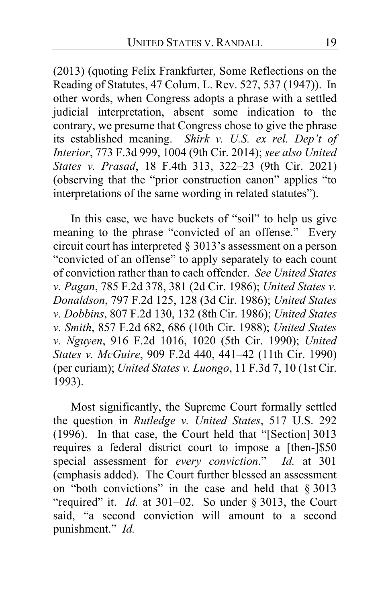(2013) (quoting Felix Frankfurter, Some Reflections on the Reading of Statutes, 47 Colum. L. Rev. 527, 537 (1947)). In other words, when Congress adopts a phrase with a settled judicial interpretation, absent some indication to the contrary, we presume that Congress chose to give the phrase its established meaning. *Shirk v. U.S. ex rel. Dep't of Interior*, 773 F.3d 999, 1004 (9th Cir. 2014); *see also United States v. Prasad*, 18 F.4th 313, 322–23 (9th Cir. 2021) (observing that the "prior construction canon" applies "to interpretations of the same wording in related statutes").

In this case, we have buckets of "soil" to help us give meaning to the phrase "convicted of an offense." Every circuit court has interpreted § 3013's assessment on a person "convicted of an offense" to apply separately to each count of conviction rather than to each offender. *See United States v. Pagan*, 785 F.2d 378, 381 (2d Cir. 1986); *United States v. Donaldson*, 797 F.2d 125, 128 (3d Cir. 1986); *United States v. Dobbins*, 807 F.2d 130, 132 (8th Cir. 1986); *United States v. Smith*, 857 F.2d 682, 686 (10th Cir. 1988); *United States v. Nguyen*, 916 F.2d 1016, 1020 (5th Cir. 1990); *United States v. McGuire*, 909 F.2d 440, 441–42 (11th Cir. 1990) (per curiam); *United States v. Luongo*, 11 F.3d 7, 10 (1st Cir. 1993).

Most significantly, the Supreme Court formally settled the question in *Rutledge v. United States*, 517 U.S. 292 (1996). In that case, the Court held that "[Section] 3013 requires a federal district court to impose a [then-]\$50 special assessment for *every conviction*." *Id.* at 301 (emphasis added). The Court further blessed an assessment on "both convictions" in the case and held that § 3013 "required" it. *Id.* at 301–02. So under § 3013, the Court said, "a second conviction will amount to a second punishment." *Id.*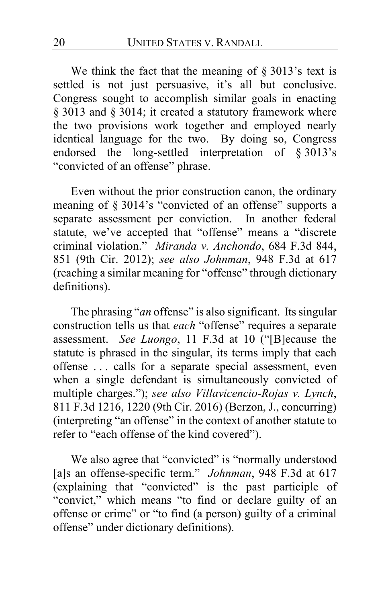<span id="page-19-0"></span>We think the fact that the meaning of  $\S 3013$ 's text is settled is not just persuasive, it's all but conclusive. Congress sought to accomplish similar goals in enacting § 3013 and § 3014; it created a statutory framework where the two provisions work together and employed nearly identical language for the two. By doing so, Congress endorsed the long-settled interpretation of § 3013's "convicted of an offense" phrase.

Even without the prior construction canon, the ordinary meaning of § 3014's "convicted of an offense" supports a separate assessment per conviction. In another federal statute, we've accepted that "offense" means a "discrete criminal violation." *Miranda v. Anchondo*, 684 F.3d 844, 851 (9th Cir. 2012); *see also Johnman*, 948 F.3d at 617 (reaching a similar meaning for "offense" through dictionary definitions).

The phrasing "*an* offense" is also significant. Its singular construction tells us that *each* "offense" requires a separate assessment. *See Luongo*, 11 F.3d at 10 ("[B]ecause the statute is phrased in the singular, its terms imply that each offense . . . calls for a separate special assessment, even when a single defendant is simultaneously convicted of multiple charges."); *see also Villavicencio-Rojas v. Lynch*, 811 F.3d 1216, 1220 (9th Cir. 2016) (Berzon, J., concurring) (interpreting "an offense" in the context of another statute to refer to "each offense of the kind covered").

We also agree that "convicted" is "normally understood [a]s an offense-specific term." *Johnman*, 948 F.3d at 617 (explaining that "convicted" is the past participle of "convict," which means "to find or declare guilty of an offense or crime" or "to find (a person) guilty of a criminal offense" under dictionary definitions).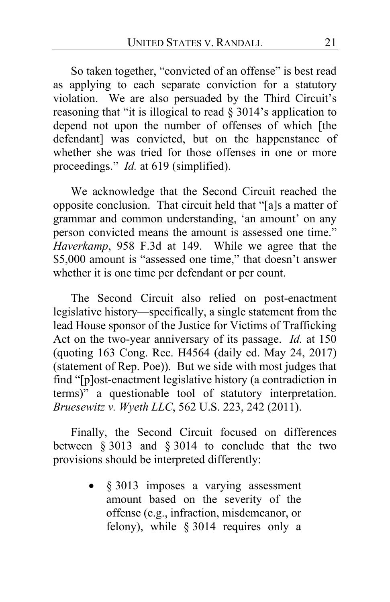So taken together, "convicted of an offense" is best read as applying to each separate conviction for a statutory violation. We are also persuaded by the Third Circuit's reasoning that "it is illogical to read § 3014's application to depend not upon the number of offenses of which [the defendant] was convicted, but on the happenstance of whether she was tried for those offenses in one or more proceedings." *Id.* at 619 (simplified).

We acknowledge that the Second Circuit reached the opposite conclusion. That circuit held that "[a]s a matter of grammar and common understanding, 'an amount' on any person convicted means the amount is assessed one time." *Haverkamp*, 958 F.3d at 149. While we agree that the \$5,000 amount is "assessed one time," that doesn't answer whether it is one time per defendant or per count.

The Second Circuit also relied on post-enactment legislative history—specifically, a single statement from the lead House sponsor of the Justice for Victims of Trafficking Act on the two-year anniversary of its passage. *Id.* at 150 (quoting 163 Cong. Rec. H4564 (daily ed. May 24, 2017) (statement of Rep. Poe)). But we side with most judges that find "[p]ost-enactment legislative history (a contradiction in terms)" a questionable tool of statutory interpretation. *Bruesewitz v. Wyeth LLC*, 562 U.S. 223, 242 (2011).

Finally, the Second Circuit focused on differences between § 3013 and § 3014 to conclude that the two provisions should be interpreted differently:

> § 3013 imposes a varying assessment amount based on the severity of the offense (e.g., infraction, misdemeanor, or felony), while § 3014 requires only a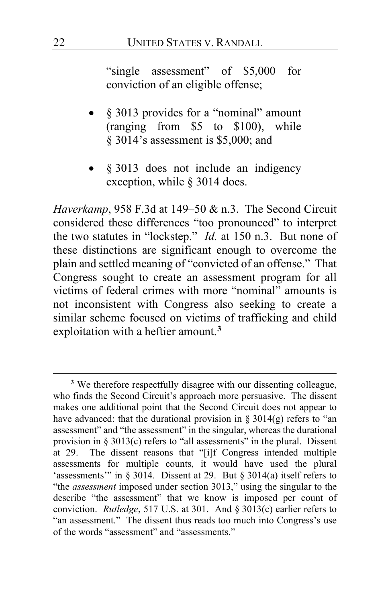"single assessment" of \$5,000 for conviction of an eligible offense;

- § 3013 provides for a "nominal" amount (ranging from \$5 to \$100), while § 3014's assessment is \$5,000; and
- § 3013 does not include an indigency exception, while § 3014 does.

*Haverkamp*, 958 F.3d at 149–50 & n.3. The Second Circuit considered these differences "too pronounced" to interpret the two statutes in "lockstep." *Id.* at 150 n.3. But none of these distinctions are significant enough to overcome the plain and settled meaning of "convicted of an offense." That Congress sought to create an assessment program for all victims of federal crimes with more "nominal" amounts is not inconsistent with Congress also seeking to create a similar scheme focused on victims of trafficking and child exploitation with a heftier amount.**[3](#page-21-0)**

<span id="page-21-0"></span>**<sup>3</sup>** We therefore respectfully disagree with our dissenting colleague, who finds the Second Circuit's approach more persuasive. The dissent makes one additional point that the Second Circuit does not appear to have advanced: that the durational provision in  $\S 3014(g)$  refers to "an assessment" and "the assessment" in the singular, whereas the durational provision in  $\S 3013(c)$  refers to "all assessments" in the plural. Dissent at [29.](#page-28-0) The dissent reasons that "[i]f Congress intended multiple assessments for multiple counts, it would have used the plural 'assessments'" in § 3014. Dissent at [29.](#page-28-0) But § 3014(a) itself refers to "the *assessment* imposed under section 3013," using the singular to the describe "the assessment" that we know is imposed per count of conviction. *Rutledge*, 517 U.S. at 301. And § 3013(c) earlier refers to "an assessment." The dissent thus reads too much into Congress's use of the words "assessment" and "assessments."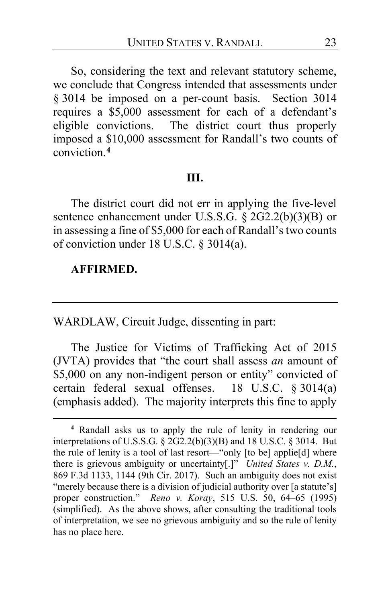So, considering the text and relevant statutory scheme, we conclude that Congress intended that assessments under § 3014 be imposed on a per-count basis. Section 3014 requires a \$5,000 assessment for each of a defendant's eligible convictions. The district court thus properly imposed a \$10,000 assessment for Randall's two counts of conviction. **[4](#page-22-0)**

### **III.**

<span id="page-22-1"></span>The district court did not err in applying the five-level sentence enhancement under U.S.S.G. § 2G2.2(b)(3)(B) or in assessing a fine of \$5,000 for each of Randall's two counts of conviction under 18 U.S.C. § 3014(a).

#### **AFFIRMED.**

WARDLAW, Circuit Judge, dissenting in part:

The Justice for Victims of Trafficking Act of 2015 (JVTA) provides that "the court shall assess *an* amount of \$5,000 on any non-indigent person or entity" convicted of certain federal sexual offenses. 18 U.S.C. § 3014(a) (emphasis added). The majority interprets this fine to apply

<span id="page-22-0"></span>**<sup>4</sup>** Randall asks us to apply the rule of lenity in rendering our interpretations of U.S.S.G.  $\S$  2G2.2(b)(3)(B) and 18 U.S.C.  $\S$  3014. But the rule of lenity is a tool of last resort—"only [to be] applie[d] where there is grievous ambiguity or uncertainty[.]" *United States v. D.M.*, 869 F.3d 1133, 1144 (9th Cir. 2017). Such an ambiguity does not exist "merely because there is a division of judicial authority over [a statute's] proper construction." *Reno v. Koray*, 515 U.S. 50, 64–65 (1995) (simplified). As the above shows, after consulting the traditional tools of interpretation, we see no grievous ambiguity and so the rule of lenity has no place here.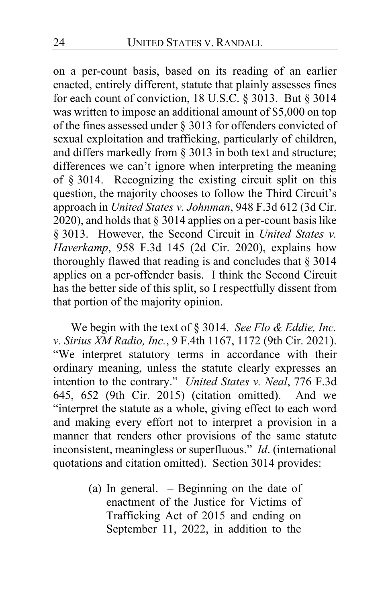on a per-count basis, based on its reading of an earlier enacted, entirely different, statute that plainly assesses fines for each count of conviction, 18 U.S.C. § 3013. But § 3014 was written to impose an additional amount of \$5,000 on top of the fines assessed under § 3013 for offenders convicted of sexual exploitation and trafficking, particularly of children, and differs markedly from § 3013 in both text and structure; differences we can't ignore when interpreting the meaning of § 3014. Recognizing the existing circuit split on this question, the majority chooses to follow the Third Circuit's approach in *United States v. Johnman*, 948 F.3d 612 (3d Cir. 2020), and holds that  $\S 3014$  applies on a per-count basis like § 3013. However, the Second Circuit in *United States v. Haverkamp*, 958 F.3d 145 (2d Cir. 2020), explains how thoroughly flawed that reading is and concludes that § 3014 applies on a per-offender basis. I think the Second Circuit has the better side of this split, so I respectfully dissent from that portion of the majority opinion.

We begin with the text of § 3014. *See Flo & Eddie, Inc. v. Sirius XM Radio, Inc.*, 9 F.4th 1167, 1172 (9th Cir. 2021). "We interpret statutory terms in accordance with their ordinary meaning, unless the statute clearly expresses an intention to the contrary." *United States v. Neal*, 776 F.3d 645, 652 (9th Cir. 2015) (citation omitted). And we "interpret the statute as a whole, giving effect to each word and making every effort not to interpret a provision in a manner that renders other provisions of the same statute inconsistent, meaningless or superfluous." *Id*. (international quotations and citation omitted). Section 3014 provides:

> (a) In general. – Beginning on the date of enactment of the Justice for Victims of Trafficking Act of 2015 and ending on September 11, 2022, in addition to the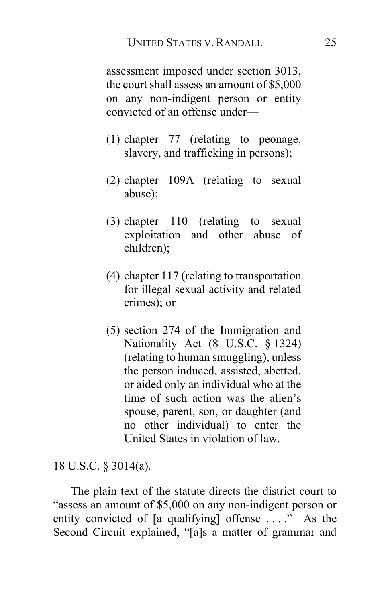assessment imposed under section 3013, the court shall assess an amount of \$5,000 on any non-indigent person or entity convicted of an offense under—

- (1) chapter 77 (relating to peonage, slavery, and trafficking in persons);
- (2) chapter 109A (relating to sexual abuse);
- (3) chapter 110 (relating to sexual exploitation and other abuse of children);
- (4) chapter 117 (relating to transportation for illegal sexual activity and related crimes); or
- (5) section 274 of the Immigration and Nationality Act (8 U.S.C. § 1324) (relating to human smuggling), unless the person induced, assisted, abetted, or aided only an individual who at the time of such action was the alien's spouse, parent, son, or daughter (and no other individual) to enter the United States in violation of law.

18 U.S.C. § 3014(a).

The plain text of the statute directs the district court to "assess an amount of \$5,000 on any non-indigent person or entity convicted of [a qualifying] offense . . . ." As the Second Circuit explained, "[a]s a matter of grammar and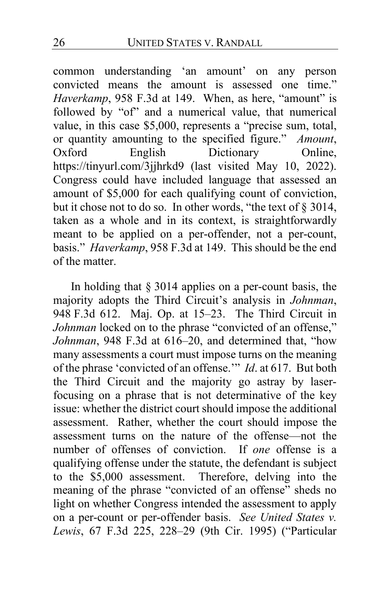common understanding 'an amount' on any person convicted means the amount is assessed one time." *Haverkamp*, 958 F.3d at 149. When, as here, "amount" is followed by "of" and a numerical value, that numerical value, in this case \$5,000, represents a "precise sum, total, or quantity amounting to the specified figure." *Amount*, Dictionary Online, https://tinyurl.com/3jjhrkd9 (last visited May 10, 2022). Congress could have included language that assessed an amount of \$5,000 for each qualifying count of conviction, but it chose not to do so. In other words, "the text of § 3014, taken as a whole and in its context, is straightforwardly meant to be applied on a per-offender, not a per-count, basis." *Haverkamp*, 958 F.3d at 149. This should be the end of the matter.

In holding that § 3014 applies on a per-count basis, the majority adopts the Third Circuit's analysis in *Johnman*, 948 F.3d 612. Maj. Op. at [15](#page-14-0)[–23.](#page-22-1) The Third Circuit in *Johnman* locked on to the phrase "convicted of an offense," *Johnman*, 948 F.3d at 616–20, and determined that, "how many assessments a court must impose turns on the meaning of the phrase 'convicted of an offense.'" *Id*. at 617. But both the Third Circuit and the majority go astray by laserfocusing on a phrase that is not determinative of the key issue: whether the district court should impose the additional assessment. Rather, whether the court should impose the assessment turns on the nature of the offense—not the number of offenses of conviction. If *one* offense is a qualifying offense under the statute, the defendant is subject to the \$5,000 assessment. Therefore, delving into the meaning of the phrase "convicted of an offense" sheds no light on whether Congress intended the assessment to apply on a per-count or per-offender basis. *See United States v. Lewis*, 67 F.3d 225, 228–29 (9th Cir. 1995) ("Particular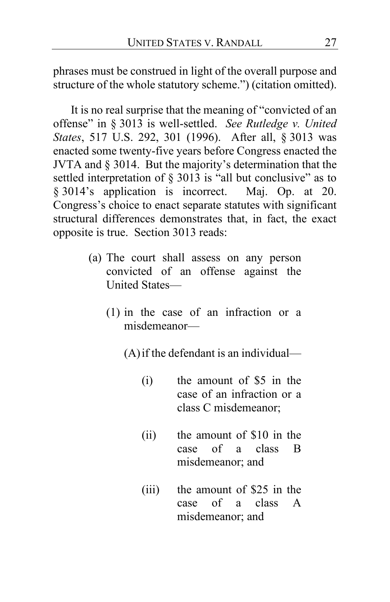phrases must be construed in light of the overall purpose and structure of the whole statutory scheme.") (citation omitted).

It is no real surprise that the meaning of "convicted of an offense" in § 3013 is well-settled. *See Rutledge v. United States*, 517 U.S. 292, 301 (1996). After all, § 3013 was enacted some twenty-five years before Congress enacted the JVTA and § 3014. But the majority's determination that the settled interpretation of § 3013 is "all but conclusive" as to § 3014's application is incorrect. Maj. Op. at [20.](#page-19-0) Congress's choice to enact separate statutes with significant structural differences demonstrates that, in fact, the exact opposite is true. Section 3013 reads:

- (a) The court shall assess on any person convicted of an offense against the United States—
	- (1) in the case of an infraction or a misdemeanor—

(A)if the defendant is an individual—

- (i) the amount of \$5 in the case of an infraction or a class C misdemeanor;
- (ii) the amount of \$10 in the case of a class B misdemeanor; and
- (iii) the amount of \$25 in the case of a class A misdemeanor; and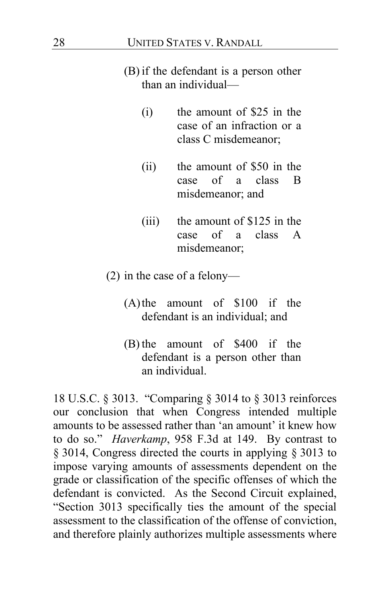## (B) if the defendant is a person other than an individual—

- (i) the amount of \$25 in the case of an infraction or a class C misdemeanor;
- (ii) the amount of \$50 in the case of a class B misdemeanor; and
- (iii) the amount of \$125 in the case of a class A misdemeanor;
- (2) in the case of a felony—
	- (A)the amount of \$100 if the defendant is an individual; and
	- (B) the amount of \$400 if the defendant is a person other than an individual.

18 U.S.C. § 3013. "Comparing § 3014 to § 3013 reinforces our conclusion that when Congress intended multiple amounts to be assessed rather than 'an amount' it knew how to do so." *Haverkamp*, 958 F.3d at 149. By contrast to § 3014, Congress directed the courts in applying § 3013 to impose varying amounts of assessments dependent on the grade or classification of the specific offenses of which the defendant is convicted. As the Second Circuit explained, "Section 3013 specifically ties the amount of the special assessment to the classification of the offense of conviction, and therefore plainly authorizes multiple assessments where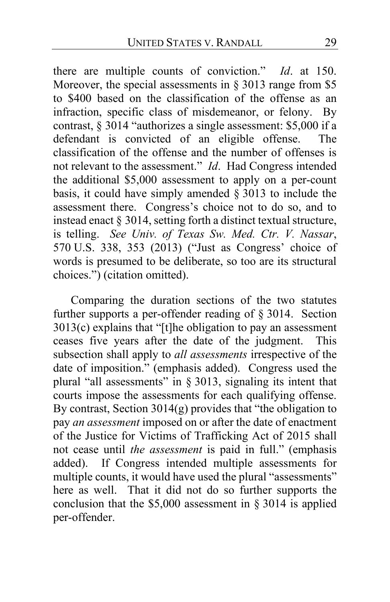there are multiple counts of conviction." *Id*. at 150. Moreover, the special assessments in  $\S 3013$  range from \$5 to \$400 based on the classification of the offense as an infraction, specific class of misdemeanor, or felony. By contrast, § 3014 "authorizes a single assessment: \$5,000 if a defendant is convicted of an eligible offense. The classification of the offense and the number of offenses is not relevant to the assessment." *Id*. Had Congress intended the additional \$5,000 assessment to apply on a per-count basis, it could have simply amended § 3013 to include the assessment there. Congress's choice not to do so, and to instead enact § 3014, setting forth a distinct textual structure, is telling. *See Univ. of Texas Sw. Med. Ctr. V. Nassar*, 570 U.S. 338, 353 (2013) ("Just as Congress' choice of words is presumed to be deliberate, so too are its structural choices.") (citation omitted).

<span id="page-28-0"></span>Comparing the duration sections of the two statutes further supports a per-offender reading of § 3014. Section 3013(c) explains that "[t]he obligation to pay an assessment ceases five years after the date of the judgment. This subsection shall apply to *all assessments* irrespective of the date of imposition." (emphasis added). Congress used the plural "all assessments" in § 3013, signaling its intent that courts impose the assessments for each qualifying offense. By contrast, Section 3014(g) provides that "the obligation to pay *an assessment* imposed on or after the date of enactment of the Justice for Victims of Trafficking Act of 2015 shall not cease until *the assessment* is paid in full." (emphasis added). If Congress intended multiple assessments for multiple counts, it would have used the plural "assessments" here as well. That it did not do so further supports the conclusion that the \$5,000 assessment in § 3014 is applied per-offender.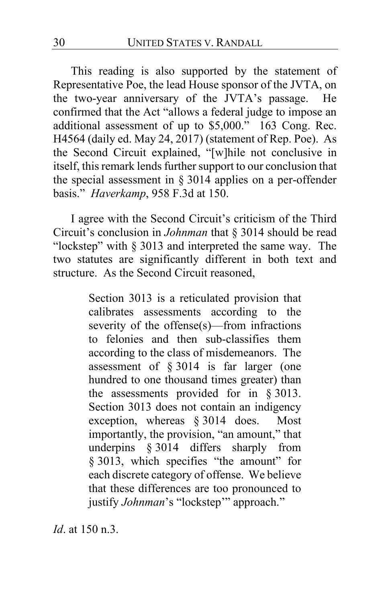This reading is also supported by the statement of Representative Poe, the lead House sponsor of the JVTA, on the two-year anniversary of the JVTA's passage. He confirmed that the Act "allows a federal judge to impose an additional assessment of up to \$5,000." 163 Cong. Rec. H4564 (daily ed. May 24, 2017) (statement of Rep. Poe). As the Second Circuit explained, "[w]hile not conclusive in itself, this remark lends further support to our conclusion that the special assessment in § 3014 applies on a per-offender basis." *Haverkamp*, 958 F.3d at 150.

I agree with the Second Circuit's criticism of the Third Circuit's conclusion in *Johnman* that § 3014 should be read "lockstep" with § 3013 and interpreted the same way. The two statutes are significantly different in both text and structure. As the Second Circuit reasoned,

> Section 3013 is a reticulated provision that calibrates assessments according to the severity of the offense(s)—from infractions to felonies and then sub-classifies them according to the class of misdemeanors. The assessment of § 3014 is far larger (one hundred to one thousand times greater) than the assessments provided for in § 3013. Section 3013 does not contain an indigency exception, whereas § 3014 does. Most importantly, the provision, "an amount," that underpins § 3014 differs sharply from § 3013, which specifies "the amount" for each discrete category of offense. We believe that these differences are too pronounced to justify *Johnman*'s "lockstep'" approach."

*Id*. at 150 n.3.